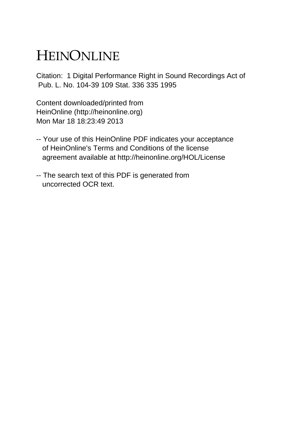# HEINONLINE

Citation: 1 Digital Performance Right in Sound Recordings Act of Pub. L. No. 104-39 109 Stat. 336 335 1995

Content downloaded/printed from HeinOnline (http://heinonline.org) Mon Mar 18 18:23:49 2013

- -- Your use of this HeinOnline PDF indicates your acceptance of HeinOnline's Terms and Conditions of the license agreement available at http://heinonline.org/HOL/License
- -- The search text of this PDF is generated from uncorrected OCR text.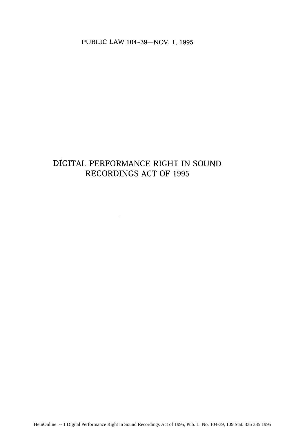PUBLIC LAW 104-39-NOV. 1, 1995

## DIGITAL PERFORMANCE RIGHT IN SOUND RECORDINGS ACT OF 1995

 $\sim 10^{-10}$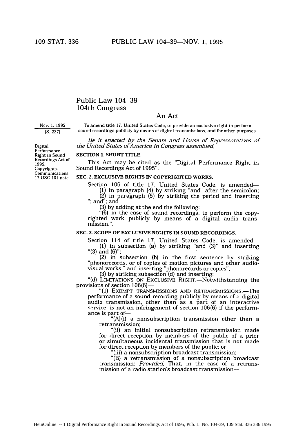### Public Law 104-39 104th Congress

#### An Act

Nov. 1, 1995 **IS. 2271**

To amend title 17, United States Code, to provide an exclusive right to perform sound recordings publicly by means of digital transmissions, and for other purposes.

*Be it enacted by the Senate and House of Representatives of the United States of America in Congress assembled,*

#### **SECTION 1. SHORT TITLE.**

This Act may be cited as the "Digital Performance Right in Sound Recordings Act of 1995".

#### **SEC.** 2. EXCLUSIVE RIGHTS **IN** COPYRIGHTED WORKS.

Section 106 of title 17, United States Code, is amended-

**(1)** in paragraph (4) by striking "and" after the semicolon;

(2) in paragraph (5) by striking the period and inserting

and"; and

**(3)** by adding at the end the following:

"(6) in the case of sound recordings, to perform the copyrighted work publicly by means of a digital audio transmission.".

#### **SEC. 3. SCOPE OF EXCLUSIVE RIGHTS IN SOUND RECORDINGS.**

Section 114 of title 17, United States Code, is amended- **(1)** in subsection (a) by striking "and (3)" and inserting "(3) and (6)";

(2) in subsection **(b)** in the first sentence by striking "phonorecords, or of copies of motion pictures and other audiovisual works," and inserting "phonorecords or copies";

(3) by striking subsection (d) and inserting:

"(d) LIMITATIONS ON EXCLUSIVE RIGHT.—Notwithstanding the provisions of section 106(6)-

"(1) Exempt transmissions and retransmissions.—The performance of a sound recording publicly by means of a digital audio transmission, other than as a part of an interactive service, is not an infringement of section 106(6) if the performance is part of-

 $^{\text{``}}(A)(i)$  a nonsubscription transmission other than a retransmission;

"(ii) an initial nonsubscription retransmission made for direct reception by members of the public of a prior or simultaneous incidental transmission that is not made for direct reception by members of the public; or

"(iii) a nonsubscription broadcast transmission;

"(B) a retransmission of a nonsubscription broadcast transmission: *Provided,* That, in the case of a retransmission of a radio station's broadcast transmission-

Digital Performance Right in Sound Recordings Act of 1995. Copyrights. Communications. 17 USC 101 note.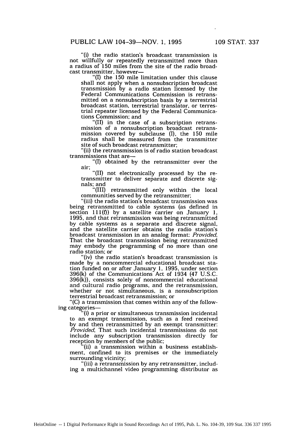"(i) the radio station's broadcast transmission is not willfully or repeatedly retransmitted more than a radius of **150** miles from the site of the radio broadcast transmitter, however-

**"(1)** the 150 mile limitation under this clause shall not apply when a nonsubscription broadcast transmission by a radio station licensed by the Federal Communications Commission is retransmitted on a nonsubscription basis by a terrestrial broadcast station, terrestrial translator, or terrestrial repeater licensed by the Federal Communications Commission; and

"(II) in the case of a subscription retransmission of a nonsubscription broadcast retransmission covered by subclause (I), the **150** mile radius shall be measured from the transmitter site of such broadcast retransmitter;

"(ii) the retransmission is of radio station broadcast transmissions that are—

"(I) obtained by the retransmitter over the air:

"(II) not electronically processed by the retransmitter to deliver separate and discrete signals; and

"(III) retransmitted only within the local communities served by the retransmitter;

"(iii) the radio station's broadcast transmission was being retransmitted to cable systems (as defined in section  $111(f)$  by a satellite carrier on January 1, 1995, and that retransmission was being retransmitted by cable systems as a separate and discrete signal, and the satellite carrier obtains the radio station's broadcast transmission in an analog format: *Provided,* That the broadcast transmission being retransmitted may embody the programming of no more than one radio station; or

(iv) the radio station's broadcast transmission is made by a noncommercial educational broadcast station funded on or after January **1,** 1995, under section 396(k) of the Communications Act of 1934 (47 U.S.C. 396(k)), consists solely of noncommercial educational and cultural radio programs, and the retransmission, whether or not simultaneous, is a nonsubscription terrestrial broadcast retransmission; or

"(C) a transmission that comes within any of the following categories-

"(i) a prior or simultaneous transmission incidental to an exempt transmission, such as a feed received by and then retransmitted by an exempt transmitter: *Provided,* That such incidental transmissions do not include any subscription transmission directly for reception by members of the public;

(ii) a transmission within a business establishment, confined to its premises or the immediately surrounding vicinity;

"(iii) a retransmission by any retransmitter, including a multichannel video programming distributor as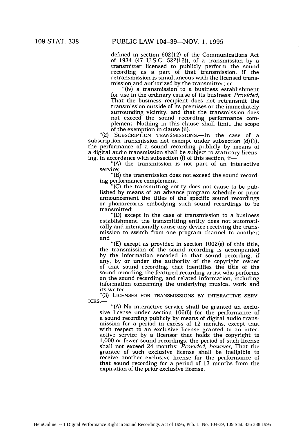defined in section **602(12)** of the Communications Act of 1934 (47 U.S.C.  $522(12)$ ), of a transmission by a transmitter licensed to publicly perform the sound recording as a part of that transmission, if the retransmission is simultaneous with the licensed trans-<br>mission and authorized by the transmitter; or

"(iv) a transmission to a business establishment for use in the ordinary course of its business: *Provided,* That the business recipient does not retransmit the transmission outside of its premises or the immediately surrounding vicinity, and that the transmission does not exceed the sound recording performance com- plement. Nothing in this clause shall limit the scope of the exemption in clause (ii).

"(2) SUBSCRIPTION TRANSMISSIONS.—In the case of a subscription transmission not exempt under subsection  $(d)(1)$ , the performance of a sound recording publicly by means of a digital audio transmission shall be subject to statutory licensing, in accordance with subsection (f) of this section, if-

"(A) the transmission is not part of an interactive service;

"(B) the transmission does not exceed the sound recording performance complement;

"(C) the transmitting entity does not cause to be published by means of an advance program schedule or prior announcement the titles of the specific sound recordings or phonorecords embodying such sound recordings to be transmitted;

**"(D)** except in the case of transmission to a business establishment, the transmitting entity does not automatically and intentionally cause any device receiving the transmission to switch from one program channel to another;

and  $"$ (E) except as provided in section 1002(e) of this title, the transmission of the sound recording is accompanied by the information encoded in that sound recording, if any, by or under the authority of the copyright owner of that sound recording, that identifies the title of the sound recording, the featured recording artist who performs on the sound recording, and related information, including information concerning the underlying musical work and its writer.

"(3) LICENSES FOR TRANSMISSIONS BY INTERACTIVE SERVICES.—

"(A) No interactive service shall be granted an exclusive license under section 106(6) for the performance of a sound recording publicly by means of digital audio transmission for a period in excess of 12 months, except that with respect to an exclusive license granted to an interactive service by a licensor that holds the copyright to 1,000 or fewer sound recordings, the period of such license shall not exceed 24 months: *Provided, however,* That the grantee of such exclusive license shall be ineligible to receive another exclusive license for the performance of that sound recording for a period of 13 months from the expiration of the prior exclusive license.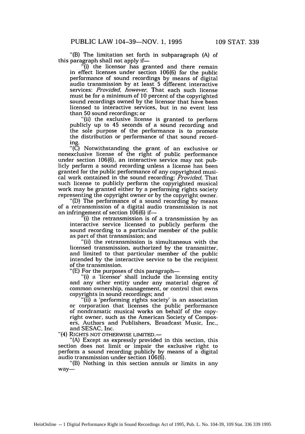"(B) The limitation set forth in subparagraph **(A)** of this paragraph shall not apply if-

"(i) the licensor has granted and there remain in effect licenses under section 106(6) for the public performance of sound recordings by means of digital audio transmission by at least 5 different interactive services: *Provided, however,* That each such license must be for a minimum of 10 percent of the copyrighted sound recordings owned by the licensor that have been licensed to interactive services, but in no event less than 50 sound recordings; or

"(ii) the exclusive license is granted to perform publicly up to 45 seconds of a sound recording and the sole purpose of the performance is to promote the distribution or performance of that sound recording.

"(C) Notwithstanding the grant of an exclusive or nonexclusive license of the right of public performance under section 106(6), an interactive service may not publicly perform a sound recording unless a license has been granted for the public performance of any copyrighted musical work contained in the sound recording: *Provided,* That such license to publicly perform the copyrighted musical work may be granted either by a performing rights society representing the copyright owner or by the copyright owner.

"(D) The performance of a sound recording by means of a retransmission of a digital audio transmission is not an infringement of section 106(6) if-

 $\tilde{f}$ (i) the retransmission is of a transmission by an interactive service licensed to publicly perform the sound recording to a particular member of the public as part of that transmission; and

"(ii) the retransmission is simultaneous with the licensed transmission, authorized by the transmitter, and limited to that particular member of the public intended by the interactive service to be the recipient of the transmission.

"(E) For the purposes of this paragraph-

"(i) a 'licensor' shall include the licensing entity and any other entity under any material degree of common ownership, management, or control that owns copyrights in sound recordings; and

"(ii) a 'performing rights society' is an association or corporation that licenses the public performance of nondramatic musical works on behalf of the copyright owner, such as the American Society of Composers, Authors and Publishers, Broadcast Music, Inc., and SESAC, Inc.

"(4) RIGHTS **NOT** OTHERWISE LIMITED.-

"(A) Except as expressly provided in this section, this section does not limit or impair the exclusive right to perform a sound recording publicly by means of a digital audio transmission under section 106(6).

"(B) Nothing in this section annuls or limits in any way-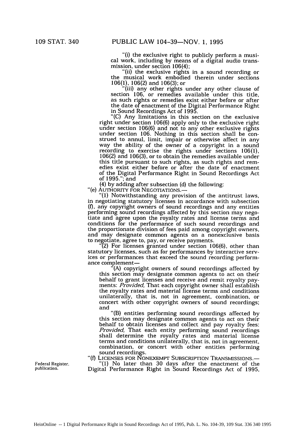"(i) the exclusive right to publicly perform a musical work, including by means of a digital audio transmission, under section  $106(4)$ ;

(ii) the exclusive rights in a sound recording or the musical work embodied therein under sections 106(1), 106(2) and 106(3); or

"(iii) any other rights under any other clause of section 106, or remedies available under this title, as such rights or remedies exist either before or after the date of enactment of the Digital Performance Right in Sound Recordings Act of 1995.

"(C) Any limitations in this section on the exclusive right under section 106(6) apply only to the exclusive right under section 106(6) and not to any other exclusive rights under section 106. Nothing in this section shall be construed to annul, limit, impair or otherwise affect in any way the ability of the owner of a copyright in a sound recording to exercise the rights under sections 106(1), 106(2) and 106(3), or to obtain the remedies available under this title pursuant to such rights, as such rights and remedies exist either before or after the date of enactment of the Digital Performance Right in Sound Recordings Act of 1995."; and

(4) by adding after subsection **(d)** the following:

"(e) AUTHORITY FOR NEGOTIATIONS.-

"(1) Notwithstanding any provision of the antitrust laws, in negotiating statutory licenses in accordance with subsection **(f),** any copyright owners of sound recordings and any entities performing sound recordings affected by this section may nego- tiate and agree upon the royalty rates and license terms and conditions for the performance of such sound recordings and the proportionate division of fees paid among copyright owners, and may designate common agents on a nonexclusive basis to negotiate, agree to, pay, or receive payments.

(2) For licenses granted under section 106(6), other than statutory licenses, such as for performances by interactive services or performances that exceed the sound recording performance complement—<br>"(A) copyright owners of sound recordings affected by"

this section may designate common agents to act on their behalf to grant licenses and receive and remit royalty payments: *Provided,* That each copyright owner shall establish the royalty rates and material license terms and conditions unilaterally, that is, not in agreement, combination, or concert with other copyright owners of sound recordings; and "(B) entities performing sound recordings affected by this section may designate common agents to act on their

behalf to obtain licenses and collect and pay royalty fees:<br>Provided, That each entity performing sound recordings *Provided, and determine the royalty rates and material license terms and conditions unilaterally, that is, not in agreement,* combination, or concert with other entities performing sound recordings.

"(f) LICENSES FOR NONEXEMPT SUBSCRIPTION TRANSMISSIONS.-

"(1) No later than **30** days after the enactment of the Digital Performance Right in Sound Recordings Act of 1995,

Federal Register, publication.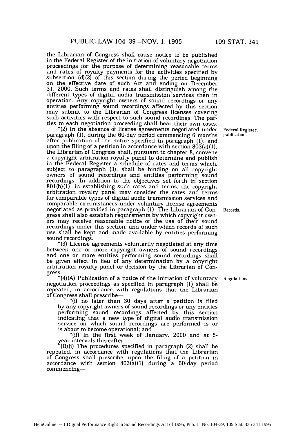the Librarian of Congress shall cause notice to be published in the Federal Register of the initiation of voluntary negotiation proceedings for the purpose of determining reasonable terms and rates of royalty payments for the activities specified by subsection **(d)(2)** of this section during the period beginning on the effective date of such Act and ending on December 31, 2000. Such terms and rates shall distinguish among the different types of digital audio transmission services then in operation. Any copyright owners of sound recordings or any entities performing sound recordings affected by this section may submit to the Librarian of Congress licenses covering such activities with respect to such sound recordings. The parties to each negotiation proceeding shall bear their own costs.

"(2) In the absence of license agreements negotiated under paragraph (1), during the 60-day period commencing 6 months after publication of the notice specified in paragraph **(1),** and upon the filing of a petition in accordance with section 803(a)(1), the Librarian of Congress shall, pursuant to chapter 8, convene a copyright arbitration royalty panel to determine and publish in the Federal Register a schedule of rates and terms which, subject to paragraph (3), shall be binding on all copyright owners of sound recordings and entities performing sound recordings. In addition to the objectives set forth in section  $801(b)(1)$ , in establishing such rates and terms, the copyright arbitration royalty panel may consider the rates and terms for comparable types of digital audio transmission services and comparable circumstances under voluntary license agreements negotiated as provided in paragraph (1). The Librarian of Congress shall also establish requirements by which copyright own- ers may receive reasonable notice of the use of their sound recordings under this section, and under which records of such use shall be kept and made available by entities performing sound recordings.

"(3) License agreements voluntarily negotiated at any time between one or more copyright owners of sound recordings and one or more entities performing sound recordings shall be given effect in lieu of any determination by a copyright arbitration royalty panel or decision by the Librarian of Congress.

"(4)(A) Publication of a notice of the initiation of voluntary negotiation proceedings as specified in paragraph **(1)** shall be repeated, in accordance with regulations that the Librarian of Congress shall prescribe-

"(i) no later than **30** days after a petition is filed by any copyright owners of sound recordings or any entities performing sound recordings affected by this section indicating that a new type of digital audio transmission service on which sound recordings are performed is or is about to become operational; and

"(ii) in the first week of January, 2000 and at 5 year intervals thereafter.

"(B)(i) The procedures specified in paragraph (2) shall be repeated, in accordance with regulations that the Librarian of Congress shall prescribe, upon the filing of a petition in accordance with section  $803(a)(1)$  during a 60-day period commencing-

Federal Register, publication.

Records.

Regulations.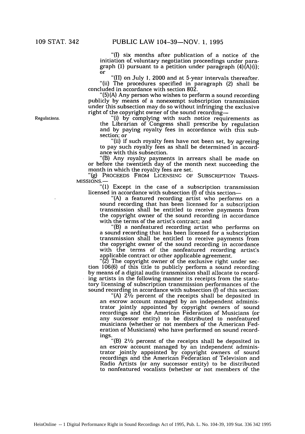"(I) six months after publication of a notice of the initiation of. voluntary negotiation proceedings under paragraph (1) pursuant to a petition under paragraph  $(4)(A)(i)$ ;

or "(II) on July **1,** 2000 and at 5-year intervals thereafter. "(ii) The procedures specified in paragraph (2) shall be concluded in accordance with section 802.

"(5) (A) Any person who wishes to perform a sound recording publicly by means of a nonexempt subscription transmission under this subsection may do so without infringing the exclusive right of the copyright owner of the sound recording-

Regulations. "(i) by complying with such notice requirements as the Librarian of Congress shall prescribe by regulation and by paying royalty fees in accordance with this subsection; or

"(ii) if such royalty fees have not been set, **by** agreeing to pay such royalty fees as shall be determined in accordance with this subsection.

"(B) Any royalty payments in arrears shall be made on or before the twentieth day of the month next succeeding the month in which the royalty fees are set.

"(g) PROCEEDS FROM LICENSING OF SUBSCRIPTION TRANS-MISSIONS.-

"(1) Except in the case of a subscription transmission licensed in accordance with subsection (f) of this section-

"(A) a featured recording artist who performs on a transmission shall be entitled to receive payments from the copyright owner of the sound recording in accordance with the terms of the artist's contract; and

"(B) a nonfeatured recording artist who performs on transmission shall be entitled to receive payments from the copyright owner of the sound recording in accordance with the terms of the nonfeatured recording artist's applicable contract or other applicable agreement.

"(2) The copyright owner of the exclusive right under section 106(6) of this title to publicly perform a sound recording by means of a digital audio transmission shall allocate to recording artists in the following manner its receipts from the statutory licensing of subscription transmission performances of the sound recording in accordance with subsection (f) of this section:

"(A)  $2\bar{1}/2$  percent of the receipts shall be deposited in an escrow account managed by an independent administrator jointly appointed by copyright owners of sound recordings and the American Federation of Musicians (or any successor entity) to be distributed to nonfeatured musicians (whether or not members of the American Federation of Musicians) who have performed on sound record-<br>ings. "(B)  $2^{1/2}$  percent of the receipts shall be deposited in

an escrow account managed by an independent administrator jointly appointed by copyright owners of sound recordings and the American Federation of Television and Radio Artists (or any successor entity) to be distributed to nonfeatured vocalists (whether or not members of the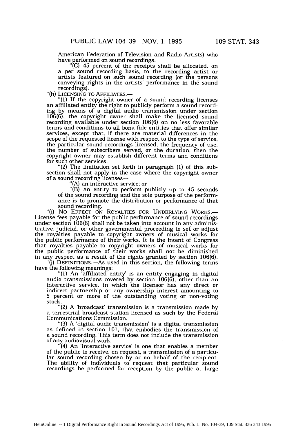American Federation of Television and Radio Artists) who have performed on sound recordings.

(C) 45 percent of the receipts shall be allocated, on a per sound recording basis, to the recording artist or artists featured on such sound recording (or the persons conveying rights in the artists' performance in the sound recordings).

"(h) LICENSING TO AFFILIATES.-

"(1) If the copyright owner of a sound recording licenses an affiliated entity the right to publicly perform a sound recording *by* means of a digital audio transmission under section 106(6), the copyright owner shall make the licensed sound recording available under section 106(6) on no less favorable terms and conditions to all bona fide entities that offer similar services, except that, if there are material differences in the scope of the requested license with respect to the type of service, the particular sound recordings licensed, the frequency of use, the number of subscribers served, or the duration, then the copyright owner may establish different terms and conditions for such other services.

"(2) The limitation set forth in paragraph **(1)** of this subsection shall not apply in the case where the copyright owner of a sound recording licenses-

"(A) an interactive service; or

"(B) an entity to perform publicly up to 45 seconds of the sound recording and the sole purpose of the performance is to promote the distribution or performance of that

sound recording.<br>"(i) No EFFECT ON ROYALTIES FOR UNDERLYING WORKS.— License fees payable for the public performance of sound recordings under section 106(6) shall not be taken into account in any administrative, judicial, or other governmental proceeding to set or adjust the royalties payable to copyright owners of musical works for the public performance of their works. It is the intent of Congress that royalties payable to copyright owners of musical works for that royalties payable to copyright owners of musical works for the public performance of their works shall not be diminished in any respect as a result of the rights granted by section 106(6).

"(j) DEFINITIONS.-As used in this section, the following terms have the following meanings:

"(1) An affiliated entity' is an entity engaging in digital audio transmissions covered by section 106(6), other than an interactive service, in which the licensor has any direct or indirect partnership or any ownership interest amounting to **5** percent or more of the outstanding voting or non-voting stock.

"(2) A 'broadcast' transmission is a transmission made by a terrestrial broadcast station licensed as such by the Federal Communications Commission.

"(3) A 'digital audio transmission' is a digital transmission as defined in section 101, that embodies the transmission of a sound recording. This term does not include the transmission of any audiovisual work.

'(4) An 'interactive service' is one that enables a member of the public to receive, on request, a transmission of a particular sound recording chosen by or on behalf of the recipient. The ability of individuals to request that particular sound recordings be performed for reception by the public at large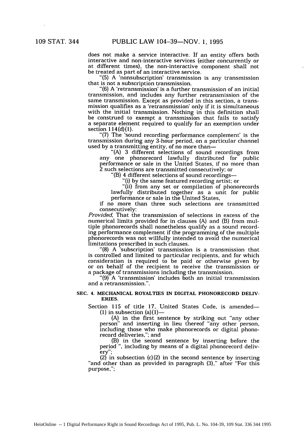does not make a service interactive. If an entity offers both interactive and non-interactive services (either concurrently or at different times), the non-interactive component shall not be treated as part of an interactive service.

"(5) A 'nonsubscription' transmission is any transmission that is not a subscription transmission.

"(6) A 'retransmission' is a further transmission of an initial same transmission. Except as provided in this section, a transmission qualifies as a 'retransmission' only if it is simultaneous with the initial transmission. Nothing in this definition shall be construed to exempt a transmission that fails to satisfy a separate element required to qualify for an exemption under section  $114(d)(1)$ .

"(7) The 'sound recording performance complement' is the transmission during any 3-hour period, on a particular channel used by a transmitting entity, of no more than-

"(A) 3 different selections of sound recordings from any one phonorecord lawfully distributed for public performance or sale in the United States, if no more than 2 such selections are transmitted consecutively; or "(B) 4 different selections of sound recordings-

"(i) by the same featured recording artist; or

"(ii) from any set or compilation of phonorecords lawfully distributed together as a unit for public performance or sale in the United States,

if no more than three such selections are transmitted consecutively:

*Provided,* That the transmission of selections in excess of the numerical limits provided for in clauses (A) and (B) from multiple phonorecords shall nonetheless qualify as a sound recording performance complement if the programming of the multiple phonorecords was not willfully intended to avoid the numerical limitations prescribed in such clauses.

"(8) A 'subscription' transmission is a transmission that is controlled and limited to particular recipients, and for which consideration is required to be paid or otherwise given by or on behalf of the recipient to receive the transmission or a package of transmissions including the transmission.

"(9) A 'transmission' includes both an initial transmission and a retransmission.".

#### **SEC. 4. MECHANICAL ROYALTIES IN DIGITAL PHONORECORD DELIV-ERIES.**

Section 115 of title 17, United States Code, is amended—  $(1)$  in subsection  $(a)(1)$ –

(A) in the first sentence by striking out "any other person" and inserting in lieu thereof "any other person, including those who make phonorecords or digital phonorecord deliveries,"; and

(B) in the second sentence by inserting before the period ", including by means of a digital phonorecord delivery";

 $(2)$  in subsection  $(c)(2)$  in the second sentence by inserting "and other than as provided in paragraph (3)," after "For this purpose,";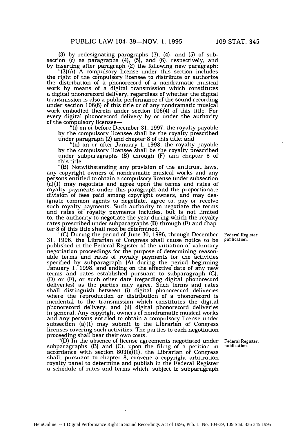(3) by redesignating paragraphs (3), (4), and (5) of subsection (c) as paragraphs (4), (5), and (6), respectively, and by inserting after paragraph (2) the following new paragraph:

"(3)(A) A compulsory license under this section includes the right of the compulsory licensee to distribute or authorize the distribution of a phonorecord of a nondramatic musical work by means of a digital transmission which constitutes a digital phonorecord delivery, regardless of whether the digital transmission is also a public performance of the sound recording under section 106(6) of this title or of any nondramatic musical work embodied therein under section 106(4) of this title. For every digital phonorecord delivery by or under the authority of the compulsory licensee-

"(i) on or before December 31, 1997, the royalty payable by the compulsory licensee shall be the royalty prescribed under paragraph (2) and chapter 8 of this title; and

"(ii) on or after January 1, 1998, the royalty payable by the compulsory licensee shall be the royalty prescribed under subparagraphs (B) through (F) and chapter 8 of this title.

"(B) Notwithstanding any provision of the antitrust laws, any copyright owners of nondramatic musical works and any persons entitled to obtain a compulsory license under subsection (a)(l) may negotiate and agree upon the terms and rates of royalty payments under this paragraph and the proportionate division of fees paid among copyright owners, and may designate common agents to negotiate, agree to, pay or receive such royalty payments. Such authority to negotiate the terms and rates of royalty payments includes, but is not limited to, the authority to negotiate the year during which the royalty rates prescribed under subparagraphs (B) through (F) and chapter 8 of this title shall next be determined.

(C) During the period of June 30, 1996, through December 31, 1996, the Librarian of Congress shall cause notice to be published in the Federal Register of the initiation of voluntary negotiation proceedings for the purpose of determining reason- able terms and rates of royalty payments for the activities specified by subparagraph (A) during the period beginning January 1, 1998, and ending on the effective date of *any* new terms and rates established pursuant to subparagraph (C), (D) or (F), or such other date (regarding digital phonorecord deliveries) as the parties may agree. Such terms and rates shall distinguish between (i) digital phonorecord deliveries where the reproduction or distribution of a phonorecord is incidental to the transmission which constitutes the digital phonorecord delivery, and (ii) digital phonorecord deliveries in general. Any copyright owners of nondramatic musical works and any persons entitled to obtain a compulsory license under subsection (a) **(1)** may submit to the Librarian of Congress licenses covering such activities. The parties to each negotiation proceeding shall bear their own costs.

"(D) In the absence of license agreements negotiated under subparagraphs  $(B)$  and  $(C)$ , upon the filing of a petition in accordance with section 803(a)(1), the Librarian of Congress shall, pursuant to chapter 8, convene a copyright arbitration royalty panel to determine and publish in the Federal Register a schedule of rates and terms which, subject to subparagraph

Federal Register, publication.

Federal Register, publication.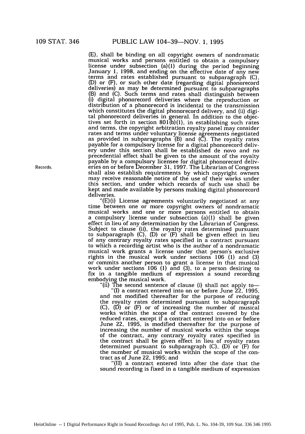(E), shall be binding on all copyright owners of nondramatic musical works and persons (a)(1) during the period beginning January 1, 1998, and ending on the effective date of any new terms and rates established pursuant to subparagraph (C), (D) or (F), or such other date (regarding digital phonorecord deliveries) as may be determined pursuant to subparagraphs (B) and (C). Such terms and rates shall distinguish between (i) digital phonorecord deliveries where the reproduction or distribution of a phonorecord is incidental to the transmission which constitutes the digital phonorecord delivery, and (ii) digi- tal phonorecord deliveries in general. In addition to the objectives set forth in section  $801(b)(1)$ , in establishing such rates and terms, the copyright arbitration royalty panel may consider rates and terms under voluntary license agreements negotiated as provided in subparagraphs  $(B)$  and  $(C)$ . The royalty rates payable for a compulsory license for a digital phonorecord delivery under this section shall be established de novo and no precedential effect shall be given to the amount of the royalty payable by a compulsory licensee for digital phonorecord deliv-Records. eries on or before December 31, 1997. The Librarian of Congress shall also establish requirements by which copyright owners may receive reasonable notice of the use of their works under this section, and under which records of such use shall be kept and made available by persons making digital phonorecord deliveries.

> $(E)(i)$  License agreements voluntarily negotiated at any time between one or more copyright owners of nondramatic musical works and one or more persons entitled to obtain a compulsory license under subsection  $(a)(1)$  shall be given effect in lieu of any determination by the Librarian of Congress. effect in lieu of any determination by the Librarian of Congress. Subject to clause (ii), the royalty rates determined pursuant to subparagraph (C), **(D)** or (F) shall be given effect in lieu of any contrary royalty rates specified in a contract pursuant to which a recording artist who is the author of a nondramatic musical work grants a license under that person's exclusive rights in the musical work under sections 106 (1) and (3) or commits another person to grant a license in that musical work under sections 106 (1) and (3), to a person desiring to fix in a tangible medium of expression a sound recording embodying the musical work.

"(ii) The second sentence of clause (i) shall not apply to-

"(I) a contract entered into on or before June 22, 1995, and not modified thereafter for the purpose of reducing the royalty rates determined pursuant to subparagraph (C), **(D)** or (F) or of increasing the number of musical works within the scope of the contract covered by the reduced rates, except if a contract entered into on or before June 22, 1995, is modified thereafter for the purpose of increasing the number of musical works within the scope of the contract, any contrary royalty rates specified in the contract shall be given effect in lieu of royalty rates determined pursuant to subparagraph (C), **(D)** or (F) for the number of musical works within the scope of the contract as of June 22, 1995; and

"(II) a contract entered into after the date that the sound recording is fixed in a tangible medium of expression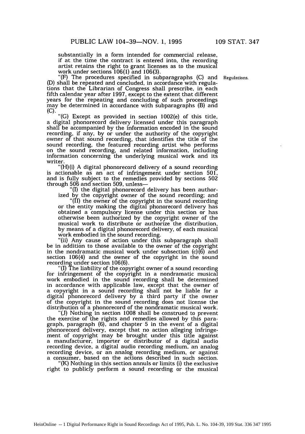substantially in a form intended for commercial release, if at the time the contract is entered into, the recording artist retains the right to grant licenses as to the musical work under sections 106(1) and 106(3).

"(F) The procedures specified in subparagraphs **(C)** and Regulations. (D) shall be repeated and concluded, in accordance with regula- tions that the Librarian of Congress shall prescribe, in each fifth calendar year after 1997, except to the extent that different years for the repeating and concluding of such proceedings may be determined in accordance with subparagraphs (B) and (C).

**(C).** "(G) Except as provided in section 1002(e) of this tide, a digital phonorecord delivery licensed under this paragraph shall be accompanied by the information encoded in the sound recording, if any, by or under the authority of the copyright owner of that sound recording, that identifies the title of the sound recording, the featured recording artist who performs on the sound recording, and related information, including information concerning the underlying musical work and its writer

"(H)(i) A digital phonorecord delivery of a sound recording is actionable as an act of infringement under section 501, and is fully subject to the remedies provided by sections **502** through **506** and section 509, unless-

"(I) the digital phonorecord delivery has been authorized by the copyright owner of the sound recording; and

"(II) the owner of the copyright in the sound recording or the entity making the digital phonorecord delivery has obtained a compulsory license under this section or has otherwise been authorized by the copyright owner of the musical work to distribute or authorize the distribution, by means of a digital phonorecord delivery, of each musical work embodied in the sound recording.

"(ii) Any cause of action under this subparagraph shall be in addition to those available to the owner of the copyright in the nondramatic musical work under subsection  $(c)(6)$  and section 106(4) and the owner of the copyright in the sound

recording under section 106(6).<br>"(I) The liability of the copyright owner of a sound recording for infringement of the copyright in a nondramatic musical work embodied in the sound recording shall be determined in accordance with applicable law, except that the owner of a copyright in a sound recording shall not be liable for a digital phonorecord delivery by a third party if the owner of the copyright in the sound recording does not license the distribution of a phonorecord of the nondramatic musical work.

"(J) Nothing in section 1008 shall be construed to prevent the exercise of the rights and remedies allowed by this para- graph, paragraph (6), and chapter 5 in the event of a digital phonorecord delivery, except that no action alleging infringement of copyright may be brought under this title against a manufacturer, importer or distributor of a digital audio recording device, a digital audio recording medium, an analog recording device, or an analog recording medium, or against a consumer, based on the actions described in such section.

 $^{\prime}$ (K) Nothing in this section annuls or limits (i) the exclusive right to publicly perform a sound recording or the musical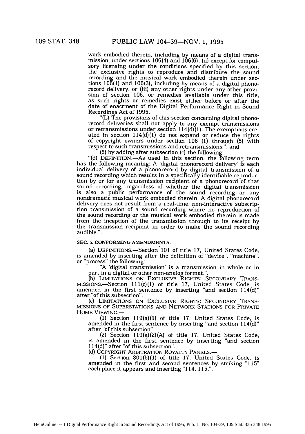work embodied therein, including by means of a digital transmission, under sections 106(4) and 106(6), (ii) except for compulsory licensing under the conditions specified by this section, the exclusive rights to reproduce and distribute the sound recording and the musical work embodied therein under sections  $106(1)$  and  $106(3)$ , including by means of a digital phonorecord delivery, or (iii) any other rights under any other provision of section 106, or remedies available under this title, as such rights or remedies exist either before or after the date of enactment of the Digital Performance Right in Sound Recordings Act of 1995.

"(L) The provisions of this section concerning digital phonorecord deliveries shall not apply to any exempt transmissions or retransmissions under section  $114(d)(1)$ . The exemptions created in section  $114(d)(1)$  do not expand or reduce the rights of copyright owners under section **106 (1)** through (5) with respect to such transmissions and retransmissions."; and

**(5)** by adding after subsection (c) the following:

**"(d)** DEFINITION.-As used in this section, the following term has the following meaning: A 'digital phonorecord delivery' is each individual delivery of a phonorecord by digital transmission of a sound recording which results in a specifically identifiable reproduction by or for any transmission recipient of a phonorecord of that sound recording, regardless of whether the digital transmission is also a public performance of the sound recording or any nondramatic musical work embodied therein. A digital phonorecord delivery does not result from a real-time, non-interactive subscription transmission of a sound recording where no reproduction of the sound recording or the musical work embodied therein is made from the inception of the transmission through to its receipt by the transmission recipient in order to make the sound recording audible.".

#### **SEC. 5. CONFORMING AMENDMENTS.**

(a) DEFINITIONS.-Section **101** of title 17, United States Code, is amended by inserting after the definition of "device", "machine", or "process" the following:

"A 'digital transmission' is a transmission in whole or in part in a digital or other non-analog format."

b) LIMITATIONS **ON** EXCLUSIVE **RIGHTS:** SECONDARY TRANS-MISSIONS.-Section 111(c)(1) of title 17, United States Code, is amended in the first sentence by inserting "and section 114(d)" after "of this subsection".

(c) LIMITATIONS ON EXCLUSIVE RIGHTS: **SECONDARY TRANS-**MISSIONS OF **SUPERSTATIONS AND** NETWORK STATIONS FOR PRIVATE HOME VIEWING.-

**(1)** Section 119(a)(l) of title 17, United States Code, is amended in the first sentence by inserting "and section 114(d)" after "of this subsection".

(2) Section 119(a)(2)(A) of title 17, United States Code, is amended in the first sentence by inserting "and section 114(d)" after "of this subsection".

(d) COPYRIGHT ARBITRATION ROYALTY PANELS.-

(1) Section 801(b)(1) of title 17, United States Code, is amended in the first and second sentences by striking "115" each place it appears and inserting "114, 115,".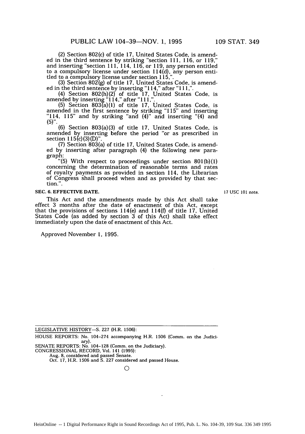HeinOnline -- 1 Digital Performance Right in Sound Recordings Act of 1995, Pub. L. No. 104-39, 109 Stat. 336 349 1995

(2) Section 802(c) of title 17, United States Code, is amended in the third sentence by striking "section 111, 116, or 119," and inserting "section 111, 114, 116, or 119, any person entitled to a compulsory license under section 114(d), any person entitled to a compulsory license under section 115,".

**(3)** Section 802(g) of title 17, United States Code, is amended in the third sentence by inserting "114," after "111 ,".

(4) Section 802(h)(2) of title 17, United States Code, is amended by inserting "114," after "111,".

**(5)** Section **803 a)(1)** of title 17, United States Code, is amended in the first sentence by striking "115" and inserting "114, 115" and by striking "and (4)" and inserting "(4) and **(5)".**

(6) Section 803(a)(3) of title **17,** United States Code, is amended by inserting before the period "or as prescribed in section **115** (c) (3)(D)".

(7) Section 803(a) of title **17,** United States Code, is amended by inserting after paragraph (4) the following new paragraph:

"(5) With respect to proceedings under section 801(b)(1) concerning the determination of reasonable terms and rates of royalty payments as provided in section 114, the Librarian of Congress shall proceed when and as provided by that section.".

#### **SEC. 6. EFFECTIVE DATE.** 17 **USC 101** note.

This Act and the amendments made by this Act shall take effect 3 months after the date of enactment of this Act, except that the provisions of sections 114(e) and 114(f) of title 17, United States Code (as added by section 3 of this Act) shall take effect immediately upon the date of enactment of this Act.

Approved November 1, 1995.

LEGISLATIVE HISTORY-S. **227** (H.R. 1506):

HOUSE REPORTS: No. 104-274 accompanying H.R. 1506 (Comm. on the Judiciary).<br>SENATE REPORTS: No. 104–128 (Comm. on the Judiciary).

CONGRESSIONAL RECORD, Vol. 141 (1995):

Aug. **8,** considered and passed Senate.

Oct. **17,** H.R. 1506 and **S.** 227 considered and passed House.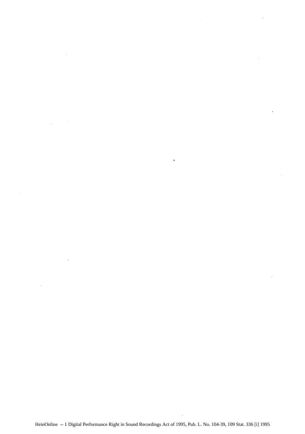HeinOnline -- 1 Digital Performance Right in Sound Recordings Act of 1995, Pub. L. No. 104-39, 109 Stat. 336 [i] 1995

 $\ddot{\phantom{0}}$ 

 $\label{eq:1} \frac{1}{\sqrt{2\pi}}\int_{\mathbb{R}^{2}}\frac{1}{\sqrt{2\pi}}\int_{\mathbb{R}^{2}}\frac{1}{\sqrt{2\pi}}\int_{\mathbb{R}^{2}}\frac{1}{\sqrt{2\pi}}\int_{\mathbb{R}^{2}}\frac{1}{\sqrt{2\pi}}\frac{1}{\sqrt{2\pi}}\frac{1}{\sqrt{2\pi}}\frac{1}{\sqrt{2\pi}}\frac{1}{\sqrt{2\pi}}\frac{1}{\sqrt{2\pi}}\frac{1}{\sqrt{2\pi}}\frac{1}{\sqrt{2\pi}}\frac{1}{\sqrt{2\pi}}\frac{1}{\sqrt{2$ 

 $\bar{z}$ 

 $\bar{z}$